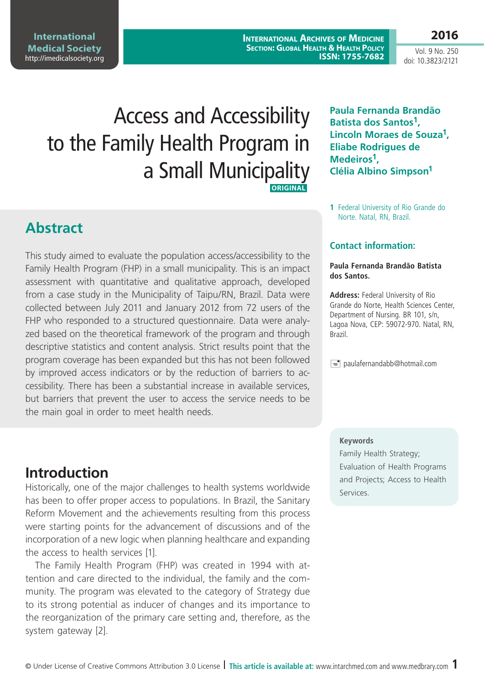© Under License of Creative Commons Attribution 3.0 License **| This article is available at:** www.intarchmed.com and www.medbrary.com 1

# **Introduction**

the main goal in order to meet health needs.

Historically, one of the major challenges to health systems worldwide has been to offer proper access to populations. In Brazil, the Sanitary Reform Movement and the achievements resulting from this process were starting points for the advancement of discussions and of the incorporation of a new logic when planning healthcare and expanding the access to health services [1].

The Family Health Program (FHP) was created in 1994 with attention and care directed to the individual, the family and the community. The program was elevated to the category of Strategy due to its strong potential as inducer of changes and its importance to the reorganization of the primary care setting and, therefore, as the system gateway [2].

**Abstract**

**International Medical Society**  http://imedicalsociety.org

# Access and Accessibility to the Family Health Program in a Small Municipality

This study aimed to evaluate the population access/accessibility to the Family Health Program (FHP) in a small municipality. This is an impact assessment with quantitative and qualitative approach, developed from a case study in the Municipality of Taipu/RN, Brazil. Data were collected between July 2011 and January 2012 from 72 users of the FHP who responded to a structured questionnaire. Data were analyzed based on the theoretical framework of the program and through descriptive statistics and content analysis. Strict results point that the program coverage has been expanded but this has not been followed by improved access indicators or by the reduction of barriers to accessibility. There has been a substantial increase in available services, but barriers that prevent the user to access the service needs to be

## **ORIGINAL**

**1** Federal University of Rio Grande do Norte. Natal, RN, Brazil.

**Paula Fernanda Brandão Batista dos Santos1,** 

**Lincoln Moraes de Souza1,** 

**Eliabe Rodrigues de** 

**Clélia Albino Simpson1**

**Medeiros1,** 

## **Contact information:**

#### **Paula Fernanda Brandão Batista dos Santos.**

**Address:** Federal University of Rio Grande do Norte, Health Sciences Center, Department of Nursing. BR 101, s/n, Lagoa Nova, CEP: 59072-970. Natal, RN, Brazil.

 $\equiv$  paulafernandabb@hotmail.com

### **Keywords**

Family Health Strategy; Evaluation of Health Programs and Projects; Access to Health Services.



Vol. 9 No. 250 doi: 10.3823/2121

## **2016**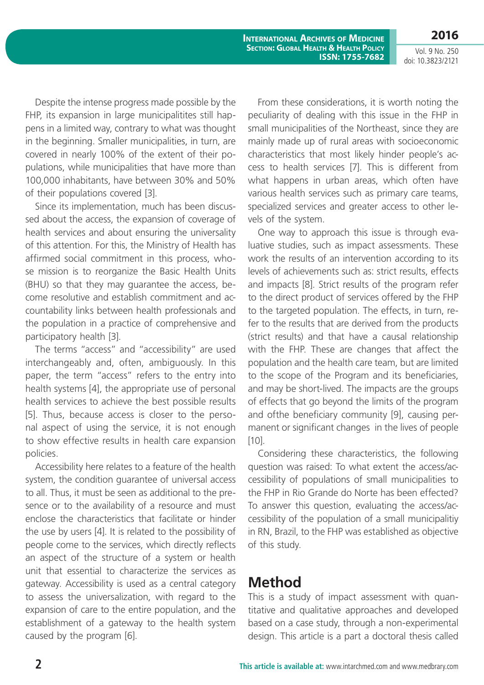**International Archives of Medicine Section: Global Health & Health Policy ISSN: 1755-7682**

Despite the intense progress made possible by the FHP, its expansion in large municipalitites still happens in a limited way, contrary to what was thought in the beginning. Smaller municipalities, in turn, are covered in nearly 100% of the extent of their populations, while municipalities that have more than 100,000 inhabitants, have between 30% and 50% of their populations covered [3].

Since its implementation, much has been discussed about the access, the expansion of coverage of health services and about ensuring the universality of this attention. For this, the Ministry of Health has affirmed social commitment in this process, whose mission is to reorganize the Basic Health Units (BHU) so that they may guarantee the access, become resolutive and establish commitment and accountability links between health professionals and the population in a practice of comprehensive and participatory health [3].

The terms "access" and "accessibility" are used interchangeably and, often, ambiguously. In this paper, the term "access" refers to the entry into health systems [4], the appropriate use of personal health services to achieve the best possible results [5]. Thus, because access is closer to the personal aspect of using the service, it is not enough to show effective results in health care expansion policies.

Accessibility here relates to a feature of the health system, the condition guarantee of universal access to all. Thus, it must be seen as additional to the presence or to the availability of a resource and must enclose the characteristics that facilitate or hinder the use by users [4]. It is related to the possibility of people come to the services, which directly reflects an aspect of the structure of a system or health unit that essential to characterize the services as gateway. Accessibility is used as a central category to assess the universalization, with regard to the expansion of care to the entire population, and the establishment of a gateway to the health system caused by the program [6].

From these considerations, it is worth noting the peculiarity of dealing with this issue in the FHP in small municipalities of the Northeast, since they are mainly made up of rural areas with socioeconomic characteristics that most likely hinder people's access to health services [7]. This is different from what happens in urban areas, which often have various health services such as primary care teams, specialized services and greater access to other levels of the system.

One way to approach this issue is through evaluative studies, such as impact assessments. These work the results of an intervention according to its levels of achievements such as: strict results, effects and impacts [8]. Strict results of the program refer to the direct product of services offered by the FHP to the targeted population. The effects, in turn, refer to the results that are derived from the products (strict results) and that have a causal relationship with the FHP. These are changes that affect the population and the health care team, but are limited to the scope of the Program and its beneficiaries, and may be short-lived. The impacts are the groups of effects that go beyond the limits of the program and ofthe beneficiary community [9], causing permanent or significant changes in the lives of people [10].

Considering these characteristics, the following question was raised: To what extent the access/accessibility of populations of small municipalities to the FHP in Rio Grande do Norte has been effected? To answer this question, evaluating the access/accessibility of the population of a small municipalitiy in RN, Brazil, to the FHP was established as objective of this study.

# **Method**

This is a study of impact assessment with quantitative and qualitative approaches and developed based on a case study, through a non-experimental design. This article is a part a doctoral thesis called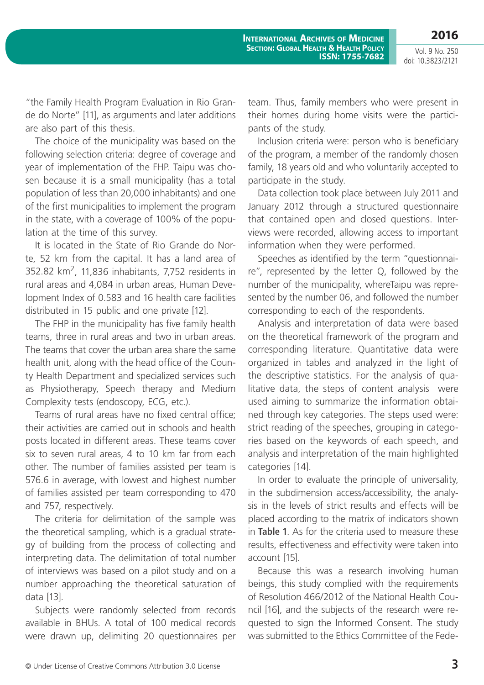**2016** Vol. 9 No. 250

doi: 10.3823/2121

"the Family Health Program Evaluation in Rio Grande do Norte" [11], as arguments and later additions are also part of this thesis.

The choice of the municipality was based on the following selection criteria: degree of coverage and year of implementation of the FHP. Taipu was chosen because it is a small municipality (has a total population of less than 20,000 inhabitants) and one of the first municipalities to implement the program in the state, with a coverage of 100% of the population at the time of this survey.

It is located in the State of Rio Grande do Norte, 52 km from the capital. It has a land area of 352.82 km2, 11,836 inhabitants, 7,752 residents in rural areas and 4,084 in urban areas, Human Development Index of 0.583 and 16 health care facilities distributed in 15 public and one private [12].

The FHP in the municipality has five family health teams, three in rural areas and two in urban areas. The teams that cover the urban area share the same health unit, along with the head office of the County Health Department and specialized services such as Physiotherapy, Speech therapy and Medium Complexity tests (endoscopy, ECG, etc.).

Teams of rural areas have no fixed central office; their activities are carried out in schools and health posts located in different areas. These teams cover six to seven rural areas, 4 to 10 km far from each other. The number of families assisted per team is 576.6 in average, with lowest and highest number of families assisted per team corresponding to 470 and 757, respectively.

The criteria for delimitation of the sample was the theoretical sampling, which is a gradual strategy of building from the process of collecting and interpreting data. The delimitation of total number of interviews was based on a pilot study and on a number approaching the theoretical saturation of data [13].

Subjects were randomly selected from records available in BHUs. A total of 100 medical records were drawn up, delimiting 20 questionnaires per team. Thus, family members who were present in their homes during home visits were the participants of the study.

Inclusion criteria were: person who is beneficiary of the program, a member of the randomly chosen family, 18 years old and who voluntarily accepted to participate in the study.

Data collection took place between July 2011 and January 2012 through a structured questionnaire that contained open and closed questions. Interviews were recorded, allowing access to important information when they were performed.

Speeches as identified by the term "questionnaire", represented by the letter Q, followed by the number of the municipality, whereTaipu was represented by the number 06, and followed the number corresponding to each of the respondents.

Analysis and interpretation of data were based on the theoretical framework of the program and corresponding literature. Quantitative data were organized in tables and analyzed in the light of the descriptive statistics. For the analysis of qualitative data, the steps of content analysis were used aiming to summarize the information obtained through key categories. The steps used were: strict reading of the speeches, grouping in categories based on the keywords of each speech, and analysis and interpretation of the main highlighted categories [14].

In order to evaluate the principle of universality, in the subdimension access/accessibility, the analysis in the levels of strict results and effects will be placed according to the matrix of indicators shown in **Table 1**. As for the criteria used to measure these results, effectiveness and effectivity were taken into account [15].

Because this was a research involving human beings, this study complied with the requirements of Resolution 466/2012 of the National Health Council [16], and the subjects of the research were requested to sign the Informed Consent. The study was submitted to the Ethics Committee of the Fede-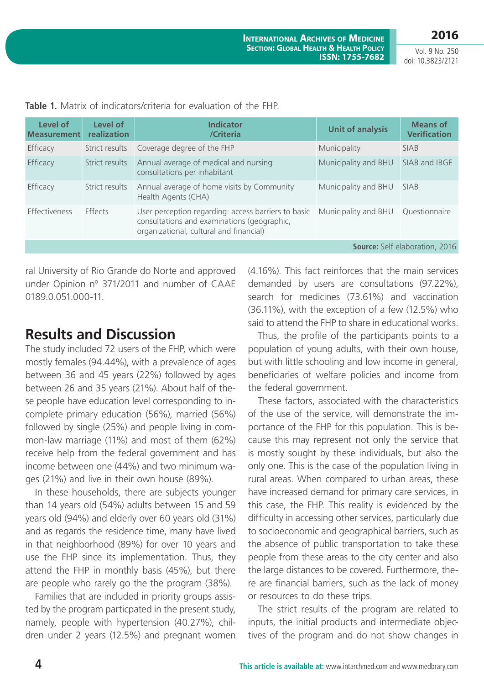**2016**

Vol. 9 No. 250 doi: 10.3823/2121

| Level of<br><b>Measurement</b>        | Level of<br>realization | <b>Indicator</b><br>/Criteria                                                                                                                 | <b>Unit of analysis</b> | <b>Means of</b><br><b>Verification</b> |  |  |
|---------------------------------------|-------------------------|-----------------------------------------------------------------------------------------------------------------------------------------------|-------------------------|----------------------------------------|--|--|
| Efficacy                              | Strict results          | Coverage degree of the FHP                                                                                                                    | Municipality            | <b>SIAB</b>                            |  |  |
| Efficacy                              | Strict results          | Annual average of medical and nursing<br>consultations per inhabitant                                                                         | Municipality and BHU    | SIAB and IBGE                          |  |  |
| Efficacy                              | Strict results          | Annual average of home visits by Community<br>Health Agents (CHA)                                                                             | Municipality and BHU    | <b>SIAB</b>                            |  |  |
| Effectiveness                         | <b>Fffects</b>          | User perception regarding: access barriers to basic<br>consultations and examinations (geographic,<br>organizational, cultural and financial) | Municipality and BHU    | Questionnaire                          |  |  |
| <b>Source:</b> Self elaboration, 2016 |                         |                                                                                                                                               |                         |                                        |  |  |

**Table 1.** Matrix of indicators/criteria for evaluation of the FHP.

ral University of Rio Grande do Norte and approved under Opinion nº 371/2011 and number of CAAE 0189.0.051.000-11.

## **Results and Discussion**

The study included 72 users of the FHP, which were mostly females (94.44%), with a prevalence of ages between 36 and 45 years (22%) followed by ages between 26 and 35 years (21%). About half of these people have education level corresponding to incomplete primary education (56%), married (56%) followed by single (25%) and people living in common-law marriage (11%) and most of them (62%) receive help from the federal government and has income between one (44%) and two minimum wages (21%) and live in their own house (89%).

In these households, there are subjects younger than 14 years old (54%) adults between 15 and 59 years old (94%) and elderly over 60 years old (31%) and as regards the residence time, many have lived in that neighborhood (89%) for over 10 years and use the FHP since its implementation. Thus, they attend the FHP in monthly basis (45%), but there are people who rarely go the the program (38%).

Families that are included in priority groups assisted by the program particpated in the present study, namely, people with hypertension (40.27%), children under 2 years (12.5%) and pregnant women

(4.16%). This fact reinforces that the main services demanded by users are consultations (97.22%), search for medicines (73.61%) and vaccination (36.11%), with the exception of a few (12.5%) who said to attend the FHP to share in educational works.

Thus, the profile of the participants points to a population of young adults, with their own house, but with little schooling and low income in general, beneficiaries of welfare policies and income from the federal government.

These factors, associated with the characteristics of the use of the service, will demonstrate the importance of the FHP for this population. This is because this may represent not only the service that is mostly sought by these individuals, but also the only one. This is the case of the population living in rural areas. When compared to urban areas, these have increased demand for primary care services, in this case, the FHP. This reality is evidenced by the difficulty in accessing other services, particularly due to socioeconomic and geographical barriers, such as the absence of public transportation to take these people from these areas to the city center and also the large distances to be covered. Furthermore, there are financial barriers, such as the lack of money or resources to do these trips.

The strict results of the program are related to inputs, the initial products and intermediate objectives of the program and do not show changes in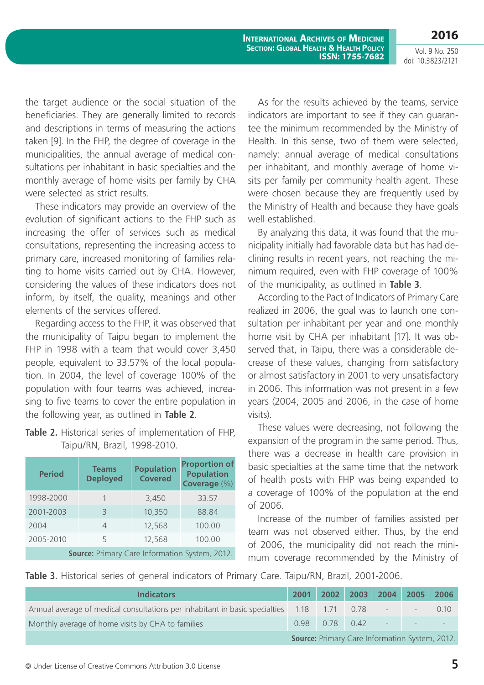**2016**

the target audience or the social situation of the beneficiaries. They are generally limited to records and descriptions in terms of measuring the actions taken [9]. In the FHP, the degree of coverage in the municipalities, the annual average of medical consultations per inhabitant in basic specialties and the monthly average of home visits per family by CHA were selected as strict results.

These indicators may provide an overview of the evolution of significant actions to the FHP such as increasing the offer of services such as medical consultations, representing the increasing access to primary care, increased monitoring of families relating to home visits carried out by CHA. However, considering the values of these indicators does not inform, by itself, the quality, meanings and other elements of the services offered.

Regarding access to the FHP, it was observed that the municipality of Taipu began to implement the FHP in 1998 with a team that would cover 3,450 people, equivalent to 33.57% of the local population. In 2004, the level of coverage 100% of the population with four teams was achieved, increasing to five teams to cover the entire population in the following year, as outlined in **Table 2**.

**Table 2.** Historical series of implementation of FHP, Taipu/RN, Brazil, 1998-2010.

| <b>Period</b>                                  | <b>Teams</b><br><b>Deployed</b> | <b>Population</b><br><b>Covered</b> | <b>Proportion of</b><br><b>Population</b><br>Coverage (%) |  |  |  |
|------------------------------------------------|---------------------------------|-------------------------------------|-----------------------------------------------------------|--|--|--|
| 1998-2000                                      |                                 | 3,450                               | 33.57                                                     |  |  |  |
| 2001-2003                                      | 3                               | 10,350                              | 88.84                                                     |  |  |  |
| 2004                                           | 4                               | 12,568                              | 100.00                                                    |  |  |  |
| 2005-2010                                      | 5                               | 12,568                              | 100.00                                                    |  |  |  |
| Source: Primary Care Information System, 2012. |                                 |                                     |                                                           |  |  |  |

As for the results achieved by the teams, service indicators are important to see if they can guarantee the minimum recommended by the Ministry of Health. In this sense, two of them were selected, namely: annual average of medical consultations per inhabitant, and monthly average of home visits per family per community health agent. These were chosen because they are frequently used by the Ministry of Health and because they have goals well established.

By analyzing this data, it was found that the municipality initially had favorable data but has had declining results in recent years, not reaching the minimum required, even with FHP coverage of 100% of the municipality, as outlined in **Table 3**.

According to the Pact of Indicators of Primary Care realized in 2006, the goal was to launch one consultation per inhabitant per year and one monthly home visit by CHA per inhabitant [17]. It was observed that, in Taipu, there was a considerable decrease of these values, changing from satisfactory or almost satisfactory in 2001 to very unsatisfactory in 2006. This information was not present in a few years (2004, 2005 and 2006, in the case of home visits).

These values were decreasing, not following the expansion of the program in the same period. Thus, there was a decrease in health care provision in basic specialties at the same time that the network of health posts with FHP was being expanded to a coverage of 100% of the population at the end of 2006.

Increase of the number of families assisted per team was not observed either. Thus, by the end of 2006, the municipality did not reach the minimum coverage recommended by the Ministry of

| Table 3. Historical series of general indicators of Primary Care. Taipu/RN, Brazil, 2001-2006. |  |
|------------------------------------------------------------------------------------------------|--|
|------------------------------------------------------------------------------------------------|--|

| <b>Indicators</b>                                                                          |  |  |                  | 2001 2002 2003 2004 2005 2006 |                          |        |  |
|--------------------------------------------------------------------------------------------|--|--|------------------|-------------------------------|--------------------------|--------|--|
| Annual average of medical consultations per inhabitant in basic specialties 1.18 1.71 0.78 |  |  |                  |                               | $\overline{\phantom{a}}$ | (1.1() |  |
| Monthly average of home visits by CHA to families                                          |  |  | $0.98$ 0.78 0.42 | $\sim$                        | the contract of the con- |        |  |
| <b>Source: Primary Care Information System, 2012.</b>                                      |  |  |                  |                               |                          |        |  |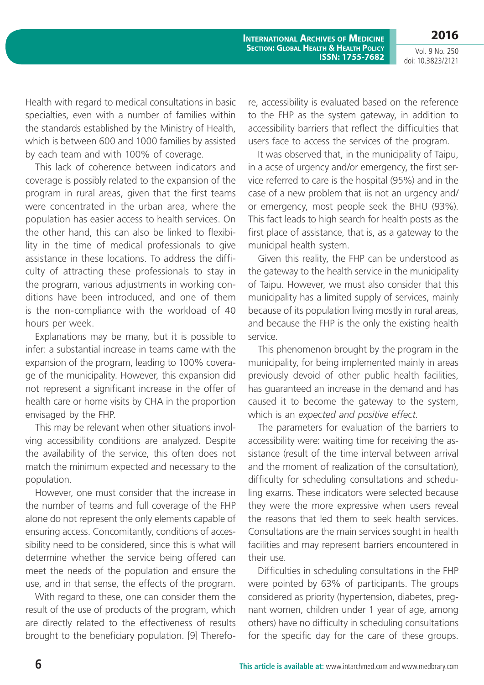**International Archives of Medicine Section: Global Health & Health Policy ISSN: 1755-7682**

Vol. 9 No. 250 doi: 10.3823/2121

**2016**

Health with regard to medical consultations in basic specialties, even with a number of families within the standards established by the Ministry of Health, which is between 600 and 1000 families by assisted by each team and with 100% of coverage.

This lack of coherence between indicators and coverage is possibly related to the expansion of the program in rural areas, given that the first teams were concentrated in the urban area, where the population has easier access to health services. On the other hand, this can also be linked to flexibility in the time of medical professionals to give assistance in these locations. To address the difficulty of attracting these professionals to stay in the program, various adjustments in working conditions have been introduced, and one of them is the non-compliance with the workload of 40 hours per week.

Explanations may be many, but it is possible to infer: a substantial increase in teams came with the expansion of the program, leading to 100% coverage of the municipality. However, this expansion did not represent a significant increase in the offer of health care or home visits by CHA in the proportion envisaged by the FHP.

This may be relevant when other situations involving accessibility conditions are analyzed. Despite the availability of the service, this often does not match the minimum expected and necessary to the population.

However, one must consider that the increase in the number of teams and full coverage of the FHP alone do not represent the only elements capable of ensuring access. Concomitantly, conditions of accessibility need to be considered, since this is what will determine whether the service being offered can meet the needs of the population and ensure the use, and in that sense, the effects of the program.

With regard to these, one can consider them the result of the use of products of the program, which are directly related to the effectiveness of results brought to the beneficiary population. [9] Therefore, accessibility is evaluated based on the reference to the FHP as the system gateway, in addition to accessibility barriers that reflect the difficulties that users face to access the services of the program.

It was observed that, in the municipality of Taipu, in a acse of urgency and/or emergency, the first service referred to care is the hospital (95%) and in the case of a new problem that iis not an urgency and/ or emergency, most people seek the BHU (93%). This fact leads to high search for health posts as the first place of assistance, that is, as a gateway to the municipal health system.

Given this reality, the FHP can be understood as the gateway to the health service in the municipality of Taipu. However, we must also consider that this municipality has a limited supply of services, mainly because of its population living mostly in rural areas, and because the FHP is the only the existing health service.

This phenomenon brought by the program in the municipality, for being implemented mainly in areas previously devoid of other public health facilities, has guaranteed an increase in the demand and has caused it to become the gateway to the system, which is an *expected and positive effect.*

The parameters for evaluation of the barriers to accessibility were: waiting time for receiving the assistance (result of the time interval between arrival and the moment of realization of the consultation), difficulty for scheduling consultations and scheduling exams. These indicators were selected because they were the more expressive when users reveal the reasons that led them to seek health services. Consultations are the main services sought in health facilities and may represent barriers encountered in their use.

Difficulties in scheduling consultations in the FHP were pointed by 63% of participants. The groups considered as priority (hypertension, diabetes, pregnant women, children under 1 year of age, among others) have no difficulty in scheduling consultations for the specific day for the care of these groups.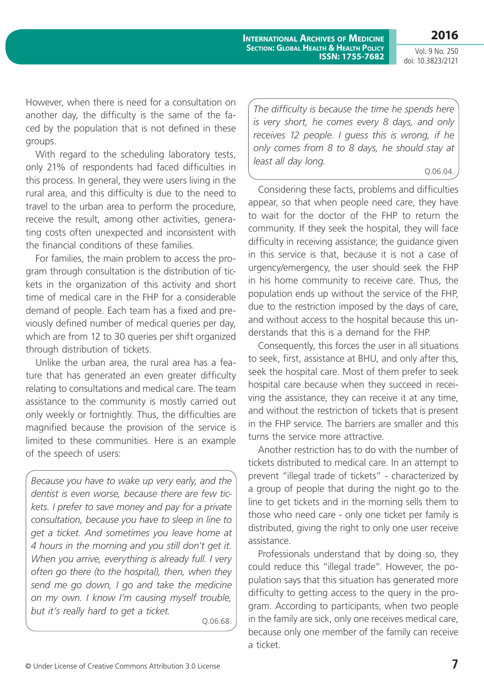**2016**

However, when there is need for a consultation on another day, the difficulty is the same of the faced by the population that is not defined in these groups.

With regard to the scheduling laboratory tests, only 21% of respondents had faced difficulties in this process. In general, they were users living in the rural area, and this difficulty is due to the need to travel to the urban area to perform the procedure, receive the result, among other activities, generating costs often unexpected and inconsistent with the financial conditions of these families.

For families, the main problem to access the program through consultation is the distribution of tickets in the organization of this activity and short time of medical care in the FHP for a considerable demand of people. Each team has a fixed and previously defined number of medical queries per day, which are from 12 to 30 queries per shift organized through distribution of tickets.

Unlike the urban area, the rural area has a feature that has generated an even greater difficulty relating to consultations and medical care. The team assistance to the community is mostly carried out only weekly or fortnightly. Thus, the difficulties are magnified because the provision of the service is limited to these communities. Here is an example of the speech of users:

*Because you have to wake up very early, and the dentist is even worse, because there are few tickets. I prefer to save money and pay for a private consultation, because you have to sleep in line to get a ticket. And sometimes you leave home at 4 hours in the morning and you still don't get it. When you arrive, everything is already full. I very often go there (to the hospital), then, when they send me go down, I go and take the medicine on my own. I know I'm causing myself trouble, but it's really hard to get a ticket.*

Q.06.68.

*The difficulty is because the time he spends here is very short, he comes every 8 days, and only receives 12 people. I guess this is wrong, if he only comes from 8 to 8 days, he should stay at least all day long.*

Q.06.04.

Considering these facts, problems and difficulties appear, so that when people need care, they have to wait for the doctor of the FHP to return the community. If they seek the hospital, they will face difficulty in receiving assistance; the guidance given in this service is that, because it is not a case of urgency/emergency, the user should seek the FHP in his home community to receive care. Thus, the population ends up without the service of the FHP, due to the restriction imposed by the days of care, and without access to the hospital because this understands that this is a demand for the FHP.

Consequently, this forces the user in all situations to seek, first, assistance at BHU, and only after this, seek the hospital care. Most of them prefer to seek hospital care because when they succeed in receiving the assistance, they can receive it at any time, and without the restriction of tickets that is present in the FHP service. The barriers are smaller and this turns the service more attractive.

Another restriction has to do with the number of tickets distributed to medical care. In an attempt to prevent "illegal trade of tickets" - characterized by a group of people that during the night go to the line to get tickets and in the morning sells them to those who need care - only one ticket per family is distributed, giving the right to only one user receive assistance.

Professionals understand that by doing so, they could reduce this "illegal trade". However, the population says that this situation has generated more difficulty to getting access to the query in the program. According to participants, when two people in the family are sick, only one receives medical care, because only one member of the family can receive a ticket.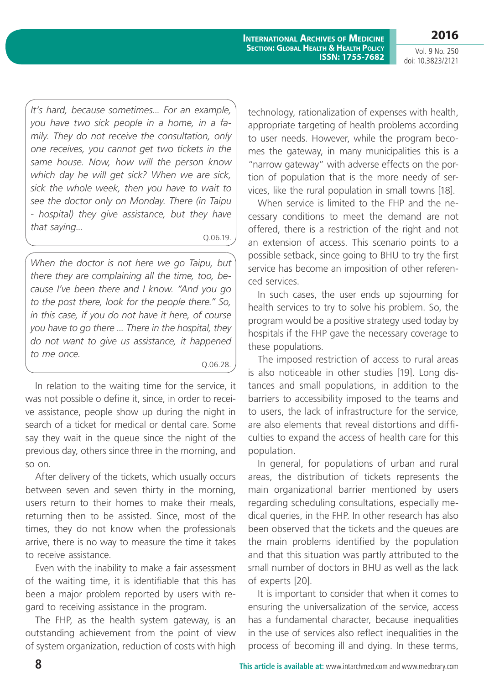**2016**

*It's hard, because sometimes... For an example, you have two sick people in a home, in a family. They do not receive the consultation, only one receives, you cannot get two tickets in the same house. Now, how will the person know which day he will get sick? When we are sick, sick the whole week, then you have to wait to see the doctor only on Monday. There (in Taipu - hospital) they give assistance, but they have that saying...*

Q.06.19.

*When the doctor is not here we go Taipu, but there they are complaining all the time, too, because I've been there and I know. "And you go to the post there, look for the people there." So, in this case, if you do not have it here, of course you have to go there ... There in the hospital, they do not want to give us assistance, it happened to me once.* 

Q.06.28.

In relation to the waiting time for the service, it was not possible o define it, since, in order to receive assistance, people show up during the night in search of a ticket for medical or dental care. Some say they wait in the queue since the night of the previous day, others since three in the morning, and so on.

After delivery of the tickets, which usually occurs between seven and seven thirty in the morning, users return to their homes to make their meals, returning then to be assisted. Since, most of the times, they do not know when the professionals arrive, there is no way to measure the time it takes to receive assistance.

Even with the inability to make a fair assessment of the waiting time, it is identifiable that this has been a major problem reported by users with regard to receiving assistance in the program.

The FHP, as the health system gateway, is an outstanding achievement from the point of view of system organization, reduction of costs with high technology, rationalization of expenses with health, appropriate targeting of health problems according to user needs. However, while the program becomes the gateway, in many municipalities this is a "narrow gateway" with adverse effects on the portion of population that is the more needy of services, like the rural population in small towns [18].

When service is limited to the FHP and the necessary conditions to meet the demand are not offered, there is a restriction of the right and not an extension of access. This scenario points to a possible setback, since going to BHU to try the first service has become an imposition of other referenced services.

In such cases, the user ends up sojourning for health services to try to solve his problem. So, the program would be a positive strategy used today by hospitals if the FHP gave the necessary coverage to these populations.

The imposed restriction of access to rural areas is also noticeable in other studies [19]. Long distances and small populations, in addition to the barriers to accessibility imposed to the teams and to users, the lack of infrastructure for the service, are also elements that reveal distortions and difficulties to expand the access of health care for this population.

In general, for populations of urban and rural areas, the distribution of tickets represents the main organizational barrier mentioned by users regarding scheduling consultations, especially medical queries, in the FHP. In other research has also been observed that the tickets and the queues are the main problems identified by the population and that this situation was partly attributed to the small number of doctors in BHU as well as the lack of experts [20].

It is important to consider that when it comes to ensuring the universalization of the service, access has a fundamental character, because inequalities in the use of services also reflect inequalities in the process of becoming ill and dying. In these terms,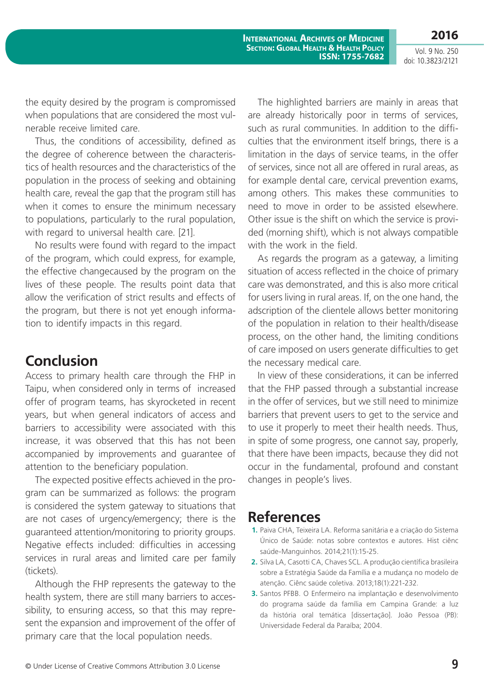**2016**

Vol. 9 No. 250 doi: 10.3823/2121

the equity desired by the program is compromissed when populations that are considered the most vulnerable receive limited care.

Thus, the conditions of accessibility, defined as the degree of coherence between the characteristics of health resources and the characteristics of the population in the process of seeking and obtaining health care, reveal the gap that the program still has when it comes to ensure the minimum necessary to populations, particularly to the rural population, with regard to universal health care. [21].

No results were found with regard to the impact of the program, which could express, for example, the effective changecaused by the program on the lives of these people. The results point data that allow the verification of strict results and effects of the program, but there is not yet enough information to identify impacts in this regard.

## **Conclusion**

Access to primary health care through the FHP in Taipu, when considered only in terms of increased offer of program teams, has skyrocketed in recent years, but when general indicators of access and barriers to accessibility were associated with this increase, it was observed that this has not been accompanied by improvements and guarantee of attention to the beneficiary population.

The expected positive effects achieved in the program can be summarized as follows: the program is considered the system gateway to situations that are not cases of urgency/emergency; there is the guaranteed attention/monitoring to priority groups. Negative effects included: difficulties in accessing services in rural areas and limited care per family (tickets).

Although the FHP represents the gateway to the health system, there are still many barriers to accessibility, to ensuring access, so that this may represent the expansion and improvement of the offer of primary care that the local population needs.

The highlighted barriers are mainly in areas that are already historically poor in terms of services, such as rural communities. In addition to the difficulties that the environment itself brings, there is a limitation in the days of service teams, in the offer of services, since not all are offered in rural areas, as for example dental care, cervical prevention exams, among others. This makes these communities to need to move in order to be assisted elsewhere. Other issue is the shift on which the service is provided (morning shift), which is not always compatible with the work in the field.

As regards the program as a gateway, a limiting situation of access reflected in the choice of primary care was demonstrated, and this is also more critical for users living in rural areas. If, on the one hand, the adscription of the clientele allows better monitoring of the population in relation to their health/disease process, on the other hand, the limiting conditions of care imposed on users generate difficulties to get the necessary medical care.

In view of these considerations, it can be inferred that the FHP passed through a substantial increase in the offer of services, but we still need to minimize barriers that prevent users to get to the service and to use it properly to meet their health needs. Thus, in spite of some progress, one cannot say, properly, that there have been impacts, because they did not occur in the fundamental, profound and constant changes in people's lives.

## **References**

- **1.** Paiva CHA, Teixeira LA. Reforma sanitária e a criação do Sistema Único de Saúde: notas sobre contextos e autores. Hist ciênc saúde-Manguinhos. 2014;21(1):15-25.
- **2.** Silva LA, Casotti CA, Chaves SCL. A produção científica brasileira sobre a Estratégia Saúde da Família e a mudança no modelo de atenção. Ciênc saúde coletiva. 2013;18(1):221-232.
- **3.** Santos PFBB. O Enfermeiro na implantação e desenvolvimento do programa saúde da família em Campina Grande: a luz da história oral temática [dissertação]. João Pessoa (PB): Universidade Federal da Paraíba; 2004.